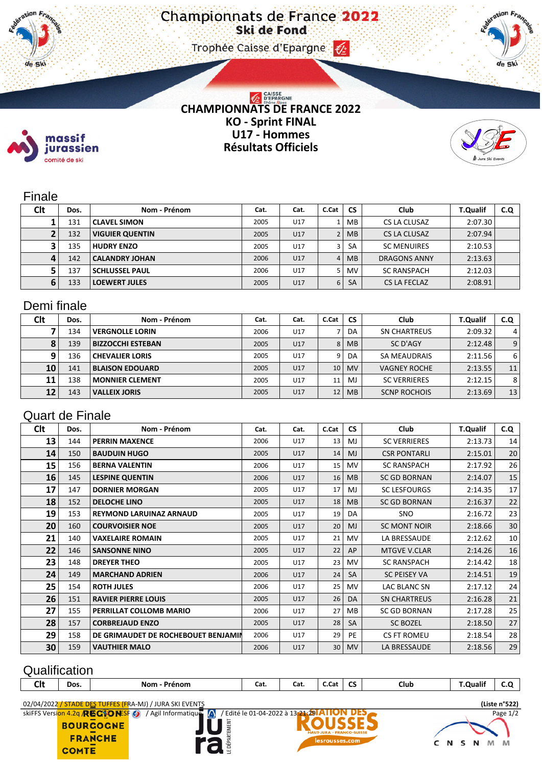#### Trophee Caisse d'Epargne (2)



# CHAMPIONNATS DE FRANCE 2022 **KO - Sprint FINAL U17 - Hommes Résultats Officiels**



### Finale

massif jurassien comité de ski

ΤΙ. de Ski

| <b>Clt</b> | Dos. | Nom - Prénom           | Cat. | Cat. | C.Cat | <b>CS</b> | Club                | <b>T.Qualif</b> | C.Q |
|------------|------|------------------------|------|------|-------|-----------|---------------------|-----------------|-----|
|            | 131  | <b>CLAVEL SIMON</b>    | 2005 | U17  |       | MB        | CS LA CLUSAZ        | 2:07.30         |     |
|            | 132  | <b>VIGUIER QUENTIN</b> | 2005 | U17  |       | <b>MB</b> | CS LA CLUSAZ        | 2:07.94         |     |
|            | 135  | <b>HUDRY ENZO</b>      | 2005 | U17  | 3     | <b>SA</b> | <b>SC MENUIRES</b>  | 2:10.53         |     |
| 4          | 142  | <b>CALANDRY JOHAN</b>  | 2006 | U17  |       | <b>MB</b> | <b>DRAGONS ANNY</b> | 2:13.63         |     |
|            | 137  | <b>SCHLUSSEL PAUL</b>  | 2006 | U17  |       | <b>MV</b> | <b>SC RANSPACH</b>  | 2:12.03         |     |
| 6          | 133  | <b>LOEWERT JULES</b>   | 2005 | U17  | 6     | <b>SA</b> | CS LA FECLAZ        | 2:08.91         |     |

## Demi finale

| Clt | Dos. | Nom - Prénom             | Cat. | Cat. | C.Cat | <b>CS</b> | Club                | <b>T.Qualif</b> | C.Q            |
|-----|------|--------------------------|------|------|-------|-----------|---------------------|-----------------|----------------|
|     | 134  | <b>VERGNOLLE LORIN</b>   | 2006 | U17  |       | DA        | SN CHARTREUS        | 2:09.32         | $\overline{4}$ |
| 8   | 139  | <b>BIZZOCCHI ESTEBAN</b> | 2005 | U17  | 8     | <b>MB</b> | SC D'AGY            | 2:12.48         | 9              |
| q   | 136  | <b>CHEVALIER LORIS</b>   | 2005 | U17  | 9     | DA        | SA MEAUDRAIS        | 2:11.56         | 6              |
| 10  | 141  | <b>BLAISON EDOUARD</b>   | 2005 | U17  | 10    | <b>MV</b> | <b>VAGNEY ROCHE</b> | 2:13.55         | 11             |
| 11  | 138  | <b>MONNIER CLEMENT</b>   | 2005 | U17  | 11    | MJ        | <b>SC VERRIERES</b> | 2:12.15         | 8              |
| 12  | 143  | <b>VALLEIX JORIS</b>     | 2005 | U17  | 12    | <b>MB</b> | <b>SCNP ROCHOIS</b> | 2:13.69         | 13             |

## Quart de Finale

| <b>Clt</b> | Dos. | Nom - Prénom                        | Cat. | Cat. | C.Cat | <b>CS</b>      | <b>Club</b>         | <b>T.Qualif</b> | C.Q             |
|------------|------|-------------------------------------|------|------|-------|----------------|---------------------|-----------------|-----------------|
| 13         | 144  | <b>PERRIN MAXENCE</b>               | 2006 | U17  | 13    | MJ             | <b>SC VERRIERES</b> | 2:13.73         | 14              |
| 14         | 150  | <b>BAUDUIN HUGO</b>                 | 2005 | U17  | 14    | <b>MJ</b>      | <b>CSR PONTARLI</b> | 2:15.01         | 20              |
| 15         | 156  | <b>BERNA VALENTIN</b>               | 2006 | U17  | 15    | MV             | <b>SC RANSPACH</b>  | 2:17.92         | 26              |
| 16         | 145  | <b>LESPINE QUENTIN</b>              | 2006 | U17  | 16    | MB             | <b>SC GD BORNAN</b> | 2:14.07         | 15              |
| 17         | 147  | <b>DORNIER MORGAN</b>               | 2005 | U17  | 17    | MJ             | <b>SC LESFOURGS</b> | 2:14.35         | 17 <sup>1</sup> |
| 18         | 152  | <b>DELOCHE LINO</b>                 | 2005 | U17  | 18    | M <sub>B</sub> | <b>SC GD BORNAN</b> | 2:16.37         | 22              |
| 19         | 153  | <b>REYMOND LARUINAZ ARNAUD</b>      | 2005 | U17  | 19    | DA             | <b>SNO</b>          | 2:16.72         | 23              |
| 20         | 160  | <b>COURVOISIER NOE</b>              | 2005 | U17  | 20    | <b>MJ</b>      | <b>SC MONT NOIR</b> | 2:18.66         | 30              |
| 21         | 140  | <b>VAXELAIRE ROMAIN</b>             | 2005 | U17  | 21    | MV             | LA BRESSAUDE        | 2:12.62         | 10              |
| 22         | 146  | <b>SANSONNE NINO</b>                | 2005 | U17  | 22    | AP             | <b>MTGVE V.CLAR</b> | 2:14.26         | 16              |
| 23         | 148  | <b>DREYER THEO</b>                  | 2005 | U17  | 23    | MV             | <b>SC RANSPACH</b>  | 2:14.42         | 18 <sup>1</sup> |
| 24         | 149  | <b>MARCHAND ADRIEN</b>              | 2006 | U17  | 24    | SA             | <b>SC PEISEY VA</b> | 2:14.51         | 19              |
| 25         | 154  | <b>ROTH JULES</b>                   | 2006 | U17  | 25    | <b>MV</b>      | LAC BLANC SN        | 2:17.12         | 24              |
| 26         | 151  | <b>RAVIER PIERRE LOUIS</b>          | 2005 | U17  | 26    | DA             | <b>SN CHARTREUS</b> | 2:16.28         | 21              |
| 27         | 155  | PERRILLAT COLLOMB MARIO             | 2006 | U17  | 27    | MВ             | <b>SC GD BORNAN</b> | 2:17.28         | 25              |
| 28         | 157  | <b>CORBREJAUD ENZO</b>              | 2005 | U17  | 28    | <b>SA</b>      | <b>SC BOZEL</b>     | 2:18.50         | 27              |
| 29         | 158  | DE GRIMAUDET DE ROCHEBOUET BENJAMIN | 2006 | U17  | 29    | PE             | <b>CS FT ROMEU</b>  | 2:18.54         | 28              |
| 30         | 159  | <b>VAUTHIER MALO</b>                | 2006 | U17  | 30    | <b>MV</b>      | LA BRESSAUDE        | 2:18.56         | 29              |

# **Qualification**

| <b>Clt</b> | Dos. | <b>Nom</b><br><b>Prénom</b> | Cat. | Cat. | C.Cat | $\sim$<br>ູ | Club | <b>T.Qualif</b> | ີ |
|------------|------|-----------------------------|------|------|-------|-------------|------|-----------------|---|
|            |      |                             |      |      |       |             |      |                 |   |

E DÉPARTEMENT

O2/04/2022 / STADE DES TUFFES (FRA-MJ) / JURA SKI EVENTS<br>
SKIFFS Version 4.2g **RESCIO NESF (2)** / Agil Informatique (3) / Edité le 01-04-2022 à 13**:21.29 ATION DES** 

**BOURGOGNE** 

**FRANCHE COMTE**